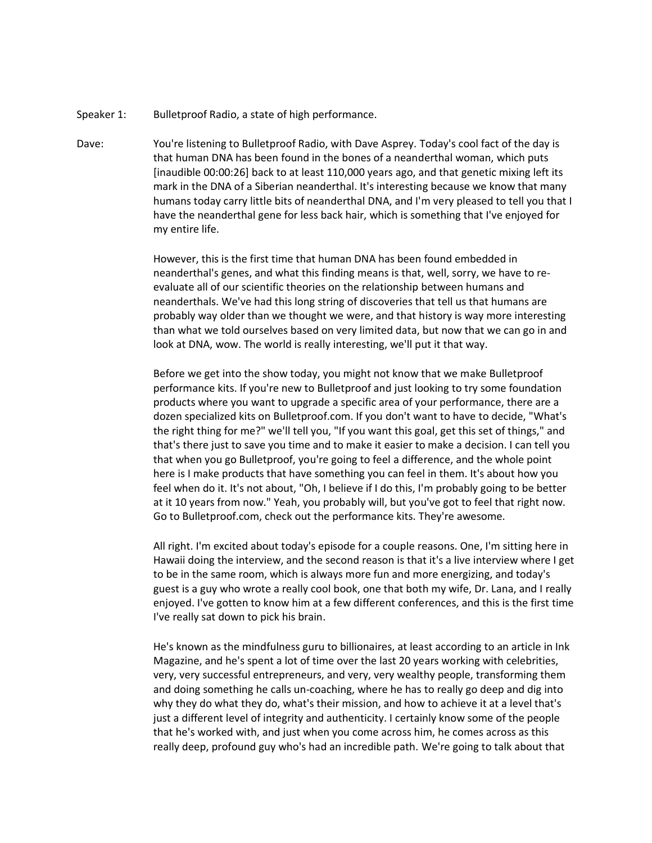- Speaker 1: Bulletproof Radio, a state of high performance.
- Dave: You're listening to Bulletproof Radio, with Dave Asprey. Today's cool fact of the day is that human DNA has been found in the bones of a neanderthal woman, which puts [inaudible 00:00:26] back to at least 110,000 years ago, and that genetic mixing left its mark in the DNA of a Siberian neanderthal. It's interesting because we know that many humans today carry little bits of neanderthal DNA, and I'm very pleased to tell you that I have the neanderthal gene for less back hair, which is something that I've enjoyed for my entire life.

However, this is the first time that human DNA has been found embedded in neanderthal's genes, and what this finding means is that, well, sorry, we have to reevaluate all of our scientific theories on the relationship between humans and neanderthals. We've had this long string of discoveries that tell us that humans are probably way older than we thought we were, and that history is way more interesting than what we told ourselves based on very limited data, but now that we can go in and look at DNA, wow. The world is really interesting, we'll put it that way.

Before we get into the show today, you might not know that we make Bulletproof performance kits. If you're new to Bulletproof and just looking to try some foundation products where you want to upgrade a specific area of your performance, there are a dozen specialized kits on Bulletproof.com. If you don't want to have to decide, "What's the right thing for me?" we'll tell you, "If you want this goal, get this set of things," and that's there just to save you time and to make it easier to make a decision. I can tell you that when you go Bulletproof, you're going to feel a difference, and the whole point here is I make products that have something you can feel in them. It's about how you feel when do it. It's not about, "Oh, I believe if I do this, I'm probably going to be better at it 10 years from now." Yeah, you probably will, but you've got to feel that right now. Go to Bulletproof.com, check out the performance kits. They're awesome.

All right. I'm excited about today's episode for a couple reasons. One, I'm sitting here in Hawaii doing the interview, and the second reason is that it's a live interview where I get to be in the same room, which is always more fun and more energizing, and today's guest is a guy who wrote a really cool book, one that both my wife, Dr. Lana, and I really enjoyed. I've gotten to know him at a few different conferences, and this is the first time I've really sat down to pick his brain.

He's known as the mindfulness guru to billionaires, at least according to an article in Ink Magazine, and he's spent a lot of time over the last 20 years working with celebrities, very, very successful entrepreneurs, and very, very wealthy people, transforming them and doing something he calls un-coaching, where he has to really go deep and dig into why they do what they do, what's their mission, and how to achieve it at a level that's just a different level of integrity and authenticity. I certainly know some of the people that he's worked with, and just when you come across him, he comes across as this really deep, profound guy who's had an incredible path. We're going to talk about that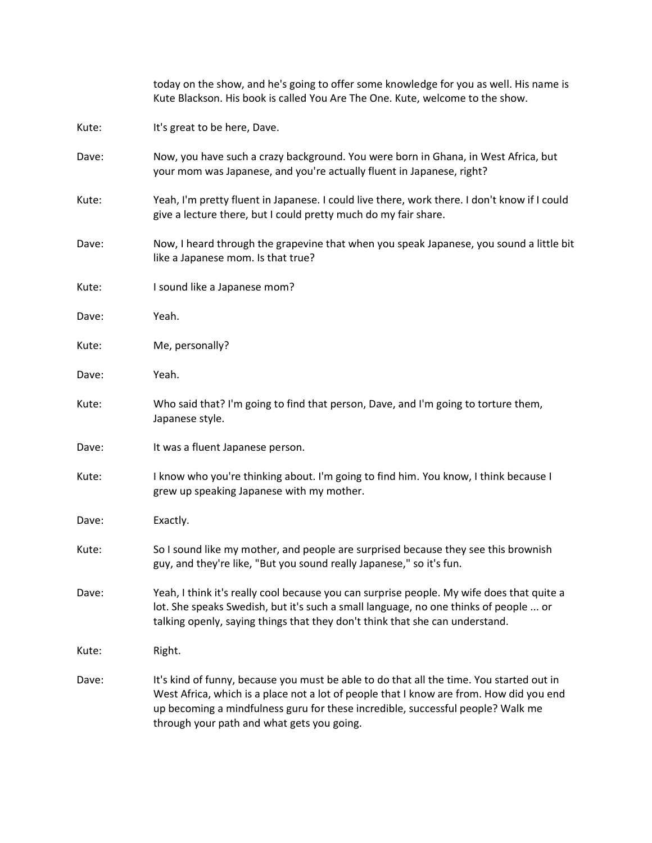|       | today on the show, and he's going to offer some knowledge for you as well. His name is<br>Kute Blackson. His book is called You Are The One. Kute, welcome to the show.                                                                                                                                              |
|-------|----------------------------------------------------------------------------------------------------------------------------------------------------------------------------------------------------------------------------------------------------------------------------------------------------------------------|
| Kute: | It's great to be here, Dave.                                                                                                                                                                                                                                                                                         |
| Dave: | Now, you have such a crazy background. You were born in Ghana, in West Africa, but<br>your mom was Japanese, and you're actually fluent in Japanese, right?                                                                                                                                                          |
| Kute: | Yeah, I'm pretty fluent in Japanese. I could live there, work there. I don't know if I could<br>give a lecture there, but I could pretty much do my fair share.                                                                                                                                                      |
| Dave: | Now, I heard through the grapevine that when you speak Japanese, you sound a little bit<br>like a Japanese mom. Is that true?                                                                                                                                                                                        |
| Kute: | I sound like a Japanese mom?                                                                                                                                                                                                                                                                                         |
| Dave: | Yeah.                                                                                                                                                                                                                                                                                                                |
| Kute: | Me, personally?                                                                                                                                                                                                                                                                                                      |
| Dave: | Yeah.                                                                                                                                                                                                                                                                                                                |
| Kute: | Who said that? I'm going to find that person, Dave, and I'm going to torture them,<br>Japanese style.                                                                                                                                                                                                                |
| Dave: | It was a fluent Japanese person.                                                                                                                                                                                                                                                                                     |
| Kute: | I know who you're thinking about. I'm going to find him. You know, I think because I<br>grew up speaking Japanese with my mother.                                                                                                                                                                                    |
| Dave: | Exactly.                                                                                                                                                                                                                                                                                                             |
| Kute: | So I sound like my mother, and people are surprised because they see this brownish<br>guy, and they're like, "But you sound really Japanese," so it's fun.                                                                                                                                                           |
| Dave: | Yeah, I think it's really cool because you can surprise people. My wife does that quite a<br>lot. She speaks Swedish, but it's such a small language, no one thinks of people  or<br>talking openly, saying things that they don't think that she can understand.                                                    |
| Kute: | Right.                                                                                                                                                                                                                                                                                                               |
| Dave: | It's kind of funny, because you must be able to do that all the time. You started out in<br>West Africa, which is a place not a lot of people that I know are from. How did you end<br>up becoming a mindfulness guru for these incredible, successful people? Walk me<br>through your path and what gets you going. |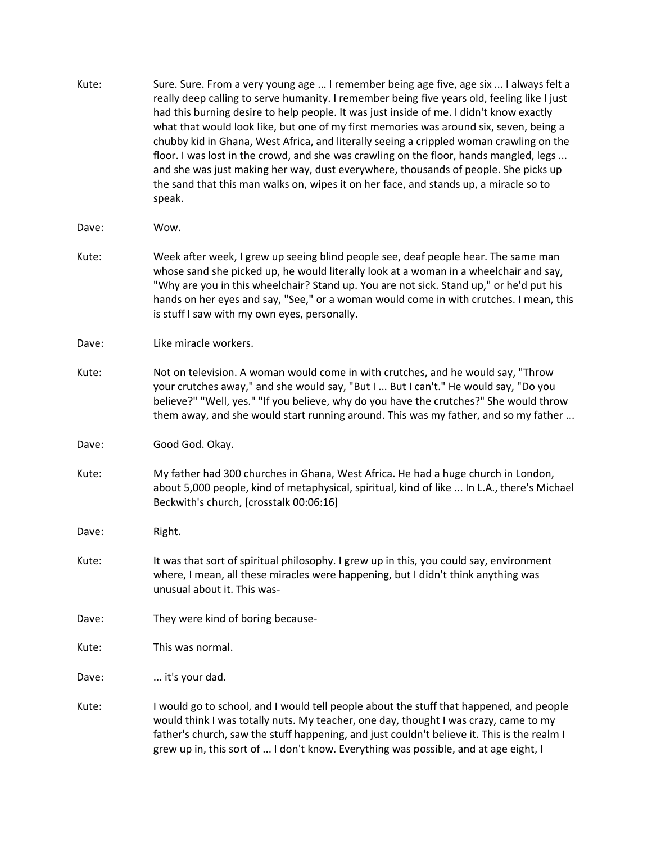Kute: Sure. Sure. From a very young age ... I remember being age five, age six ... I always felt a really deep calling to serve humanity. I remember being five years old, feeling like I just had this burning desire to help people. It was just inside of me. I didn't know exactly what that would look like, but one of my first memories was around six, seven, being a chubby kid in Ghana, West Africa, and literally seeing a crippled woman crawling on the floor. I was lost in the crowd, and she was crawling on the floor, hands mangled, legs ... and she was just making her way, dust everywhere, thousands of people. She picks up the sand that this man walks on, wipes it on her face, and stands up, a miracle so to speak. Dave: Wow. Kute: Week after week, I grew up seeing blind people see, deaf people hear. The same man whose sand she picked up, he would literally look at a woman in a wheelchair and say, "Why are you in this wheelchair? Stand up. You are not sick. Stand up," or he'd put his hands on her eyes and say, "See," or a woman would come in with crutches. I mean, this is stuff I saw with my own eyes, personally. Dave: Like miracle workers. Kute: Not on television. A woman would come in with crutches, and he would say, "Throw your crutches away," and she would say, "But I ... But I can't." He would say, "Do you believe?" "Well, yes." "If you believe, why do you have the crutches?" She would throw them away, and she would start running around. This was my father, and so my father ... Dave: Good God. Okay. Kute: My father had 300 churches in Ghana, West Africa. He had a huge church in London, about 5,000 people, kind of metaphysical, spiritual, kind of like ... In L.A., there's Michael Beckwith's church, [crosstalk 00:06:16] Dave: Right. Kute: It was that sort of spiritual philosophy. I grew up in this, you could say, environment where, I mean, all these miracles were happening, but I didn't think anything was unusual about it. This was-Dave: They were kind of boring because-Kute: This was normal. Dave: ... it's your dad. Kute: I would go to school, and I would tell people about the stuff that happened, and people would think I was totally nuts. My teacher, one day, thought I was crazy, came to my father's church, saw the stuff happening, and just couldn't believe it. This is the realm I grew up in, this sort of ... I don't know. Everything was possible, and at age eight, I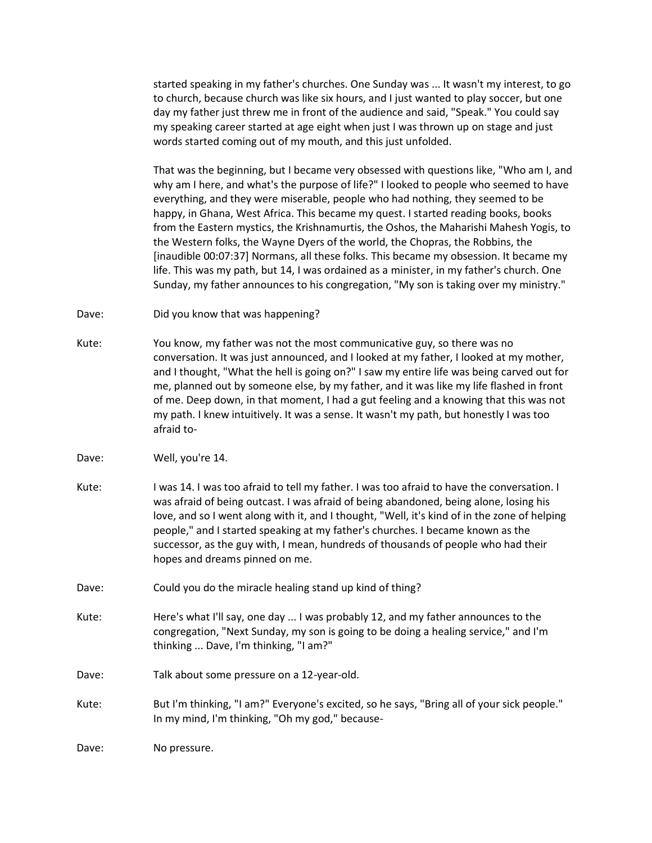started speaking in my father's churches. One Sunday was ... It wasn't my interest, to go to church, because church was like six hours, and I just wanted to play soccer, but one day my father just threw me in front of the audience and said, "Speak." You could say my speaking career started at age eight when just I was thrown up on stage and just words started coming out of my mouth, and this just unfolded.

That was the beginning, but I became very obsessed with questions like, "Who am I, and why am I here, and what's the purpose of life?" I looked to people who seemed to have everything, and they were miserable, people who had nothing, they seemed to be happy, in Ghana, West Africa. This became my quest. I started reading books, books from the Eastern mystics, the Krishnamurtis, the Oshos, the Maharishi Mahesh Yogis, to the Western folks, the Wayne Dyers of the world, the Chopras, the Robbins, the [inaudible 00:07:37] Normans, all these folks. This became my obsession. It became my life. This was my path, but 14, I was ordained as a minister, in my father's church. One Sunday, my father announces to his congregation, "My son is taking over my ministry."

- Dave: Did you know that was happening?
- Kute: You know, my father was not the most communicative guy, so there was no conversation. It was just announced, and I looked at my father, I looked at my mother, and I thought, "What the hell is going on?" I saw my entire life was being carved out for me, planned out by someone else, by my father, and it was like my life flashed in front of me. Deep down, in that moment, I had a gut feeling and a knowing that this was not my path. I knew intuitively. It was a sense. It wasn't my path, but honestly I was too afraid to-
- Dave: Well, you're 14.
- Kute: I was 14. I was too afraid to tell my father. I was too afraid to have the conversation. I was afraid of being outcast. I was afraid of being abandoned, being alone, losing his love, and so I went along with it, and I thought, "Well, it's kind of in the zone of helping people," and I started speaking at my father's churches. I became known as the successor, as the guy with, I mean, hundreds of thousands of people who had their hopes and dreams pinned on me.
- Dave: Could you do the miracle healing stand up kind of thing?
- Kute: Here's what I'll say, one day ... I was probably 12, and my father announces to the congregation, "Next Sunday, my son is going to be doing a healing service," and I'm thinking ... Dave, I'm thinking, "I am?"
- Dave: Talk about some pressure on a 12-year-old.
- Kute: But I'm thinking, "I am?" Everyone's excited, so he says, "Bring all of your sick people." In my mind, I'm thinking, "Oh my god," because-

Dave: No pressure.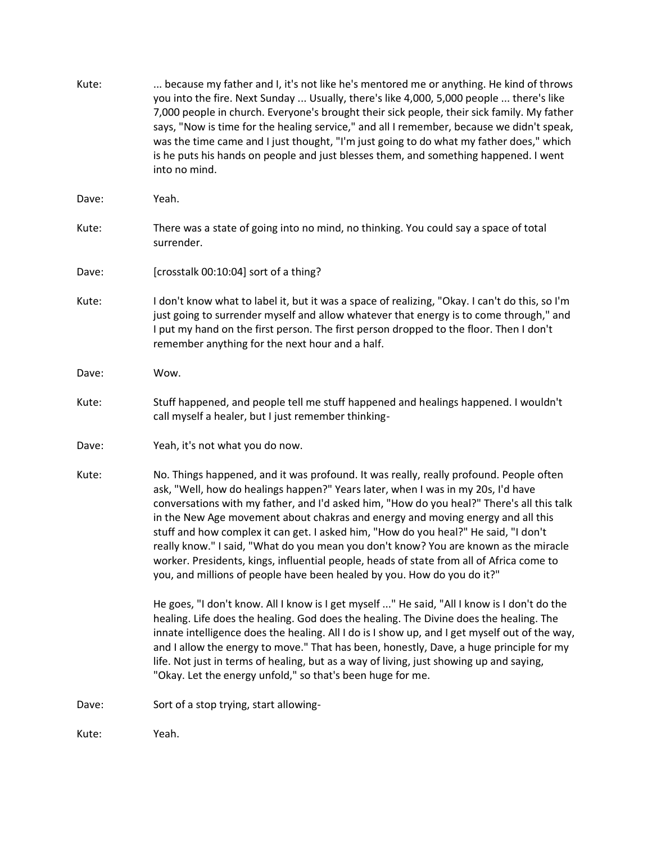| Kute: | because my father and I, it's not like he's mentored me or anything. He kind of throws<br>you into the fire. Next Sunday  Usually, there's like 4,000, 5,000 people  there's like<br>7,000 people in church. Everyone's brought their sick people, their sick family. My father<br>says, "Now is time for the healing service," and all I remember, because we didn't speak,<br>was the time came and I just thought, "I'm just going to do what my father does," which<br>is he puts his hands on people and just blesses them, and something happened. I went<br>into no mind.                                                                                                                                 |
|-------|------------------------------------------------------------------------------------------------------------------------------------------------------------------------------------------------------------------------------------------------------------------------------------------------------------------------------------------------------------------------------------------------------------------------------------------------------------------------------------------------------------------------------------------------------------------------------------------------------------------------------------------------------------------------------------------------------------------|
| Dave: | Yeah.                                                                                                                                                                                                                                                                                                                                                                                                                                                                                                                                                                                                                                                                                                            |
| Kute: | There was a state of going into no mind, no thinking. You could say a space of total<br>surrender.                                                                                                                                                                                                                                                                                                                                                                                                                                                                                                                                                                                                               |
| Dave: | [crosstalk 00:10:04] sort of a thing?                                                                                                                                                                                                                                                                                                                                                                                                                                                                                                                                                                                                                                                                            |
| Kute: | I don't know what to label it, but it was a space of realizing, "Okay. I can't do this, so I'm<br>just going to surrender myself and allow whatever that energy is to come through," and<br>I put my hand on the first person. The first person dropped to the floor. Then I don't<br>remember anything for the next hour and a half.                                                                                                                                                                                                                                                                                                                                                                            |
| Dave: | Wow.                                                                                                                                                                                                                                                                                                                                                                                                                                                                                                                                                                                                                                                                                                             |
| Kute: | Stuff happened, and people tell me stuff happened and healings happened. I wouldn't<br>call myself a healer, but I just remember thinking-                                                                                                                                                                                                                                                                                                                                                                                                                                                                                                                                                                       |
| Dave: | Yeah, it's not what you do now.                                                                                                                                                                                                                                                                                                                                                                                                                                                                                                                                                                                                                                                                                  |
| Kute: | No. Things happened, and it was profound. It was really, really profound. People often<br>ask, "Well, how do healings happen?" Years later, when I was in my 20s, I'd have<br>conversations with my father, and I'd asked him, "How do you heal?" There's all this talk<br>in the New Age movement about chakras and energy and moving energy and all this<br>stuff and how complex it can get. I asked him, "How do you heal?" He said, "I don't<br>really know." I said, "What do you mean you don't know? You are known as the miracle<br>worker. Presidents, kings, influential people, heads of state from all of Africa come to<br>you, and millions of people have been healed by you. How do you do it?" |
|       | He goes, "I don't know. All I know is I get myself " He said, "All I know is I don't do the<br>healing. Life does the healing. God does the healing. The Divine does the healing. The<br>innate intelligence does the healing. All I do is I show up, and I get myself out of the way,<br>and I allow the energy to move." That has been, honestly, Dave, a huge principle for my<br>life. Not just in terms of healing, but as a way of living, just showing up and saying,<br>"Okay. Let the energy unfold," so that's been huge for me.                                                                                                                                                                       |
| Dave: | Sort of a stop trying, start allowing-                                                                                                                                                                                                                                                                                                                                                                                                                                                                                                                                                                                                                                                                           |
| Kute: | Yeah.                                                                                                                                                                                                                                                                                                                                                                                                                                                                                                                                                                                                                                                                                                            |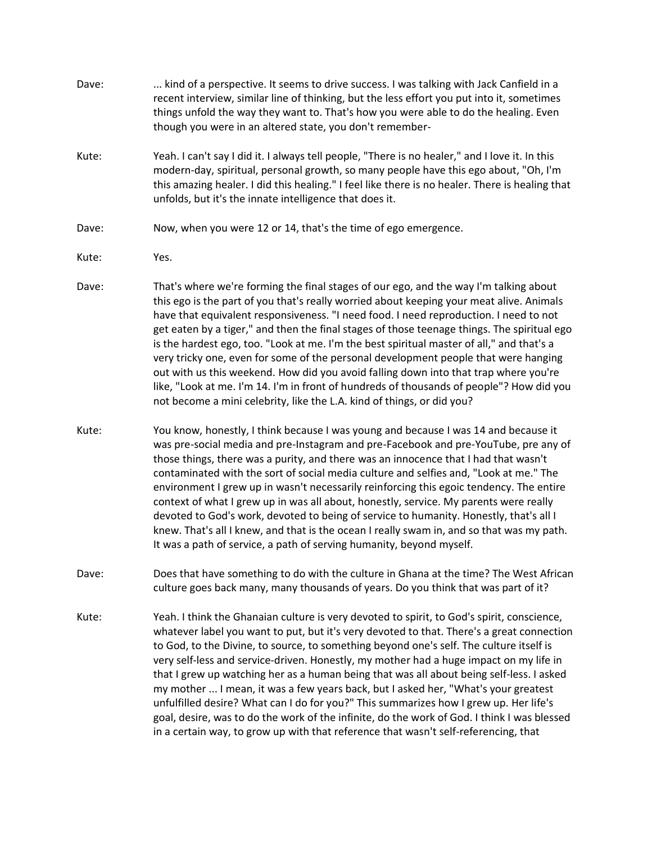Dave: ... kind of a perspective. It seems to drive success. I was talking with Jack Canfield in a recent interview, similar line of thinking, but the less effort you put into it, sometimes things unfold the way they want to. That's how you were able to do the healing. Even though you were in an altered state, you don't remember-Kute: Yeah. I can't say I did it. I always tell people, "There is no healer," and I love it. In this modern-day, spiritual, personal growth, so many people have this ego about, "Oh, I'm this amazing healer. I did this healing." I feel like there is no healer. There is healing that unfolds, but it's the innate intelligence that does it. Dave: Now, when you were 12 or 14, that's the time of ego emergence. Kute: Yes. Dave: That's where we're forming the final stages of our ego, and the way I'm talking about this ego is the part of you that's really worried about keeping your meat alive. Animals have that equivalent responsiveness. "I need food. I need reproduction. I need to not get eaten by a tiger," and then the final stages of those teenage things. The spiritual ego is the hardest ego, too. "Look at me. I'm the best spiritual master of all," and that's a very tricky one, even for some of the personal development people that were hanging out with us this weekend. How did you avoid falling down into that trap where you're like, "Look at me. I'm 14. I'm in front of hundreds of thousands of people"? How did you not become a mini celebrity, like the L.A. kind of things, or did you? Kute: You know, honestly, I think because I was young and because I was 14 and because it was pre-social media and pre-Instagram and pre-Facebook and pre-YouTube, pre any of those things, there was a purity, and there was an innocence that I had that wasn't contaminated with the sort of social media culture and selfies and, "Look at me." The environment I grew up in wasn't necessarily reinforcing this egoic tendency. The entire context of what I grew up in was all about, honestly, service. My parents were really devoted to God's work, devoted to being of service to humanity. Honestly, that's all I knew. That's all I knew, and that is the ocean I really swam in, and so that was my path. It was a path of service, a path of serving humanity, beyond myself. Dave: Does that have something to do with the culture in Ghana at the time? The West African culture goes back many, many thousands of years. Do you think that was part of it? Kute: Yeah. I think the Ghanaian culture is very devoted to spirit, to God's spirit, conscience, whatever label you want to put, but it's very devoted to that. There's a great connection to God, to the Divine, to source, to something beyond one's self. The culture itself is very self-less and service-driven. Honestly, my mother had a huge impact on my life in

> that I grew up watching her as a human being that was all about being self-less. I asked my mother ... I mean, it was a few years back, but I asked her, "What's your greatest unfulfilled desire? What can I do for you?" This summarizes how I grew up. Her life's goal, desire, was to do the work of the infinite, do the work of God. I think I was blessed in a certain way, to grow up with that reference that wasn't self-referencing, that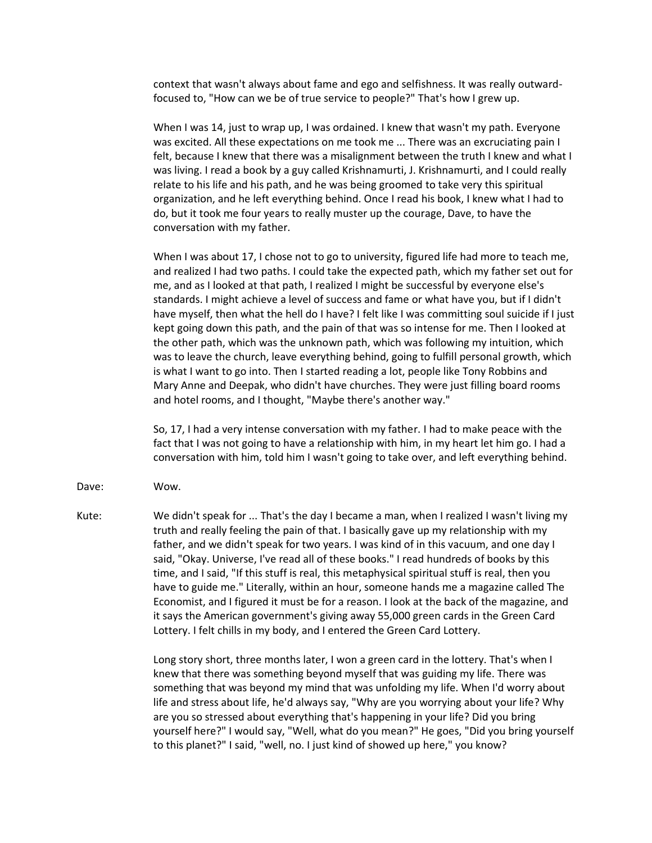context that wasn't always about fame and ego and selfishness. It was really outwardfocused to, "How can we be of true service to people?" That's how I grew up.

When I was 14, just to wrap up, I was ordained. I knew that wasn't my path. Everyone was excited. All these expectations on me took me ... There was an excruciating pain I felt, because I knew that there was a misalignment between the truth I knew and what I was living. I read a book by a guy called Krishnamurti, J. Krishnamurti, and I could really relate to his life and his path, and he was being groomed to take very this spiritual organization, and he left everything behind. Once I read his book, I knew what I had to do, but it took me four years to really muster up the courage, Dave, to have the conversation with my father.

When I was about 17, I chose not to go to university, figured life had more to teach me, and realized I had two paths. I could take the expected path, which my father set out for me, and as I looked at that path, I realized I might be successful by everyone else's standards. I might achieve a level of success and fame or what have you, but if I didn't have myself, then what the hell do I have? I felt like I was committing soul suicide if I just kept going down this path, and the pain of that was so intense for me. Then I looked at the other path, which was the unknown path, which was following my intuition, which was to leave the church, leave everything behind, going to fulfill personal growth, which is what I want to go into. Then I started reading a lot, people like Tony Robbins and Mary Anne and Deepak, who didn't have churches. They were just filling board rooms and hotel rooms, and I thought, "Maybe there's another way."

So, 17, I had a very intense conversation with my father. I had to make peace with the fact that I was not going to have a relationship with him, in my heart let him go. I had a conversation with him, told him I wasn't going to take over, and left everything behind.

- Dave: Wow.
- Kute: We didn't speak for ... That's the day I became a man, when I realized I wasn't living my truth and really feeling the pain of that. I basically gave up my relationship with my father, and we didn't speak for two years. I was kind of in this vacuum, and one day I said, "Okay. Universe, I've read all of these books." I read hundreds of books by this time, and I said, "If this stuff is real, this metaphysical spiritual stuff is real, then you have to guide me." Literally, within an hour, someone hands me a magazine called The Economist, and I figured it must be for a reason. I look at the back of the magazine, and it says the American government's giving away 55,000 green cards in the Green Card Lottery. I felt chills in my body, and I entered the Green Card Lottery.

Long story short, three months later, I won a green card in the lottery. That's when I knew that there was something beyond myself that was guiding my life. There was something that was beyond my mind that was unfolding my life. When I'd worry about life and stress about life, he'd always say, "Why are you worrying about your life? Why are you so stressed about everything that's happening in your life? Did you bring yourself here?" I would say, "Well, what do you mean?" He goes, "Did you bring yourself to this planet?" I said, "well, no. I just kind of showed up here," you know?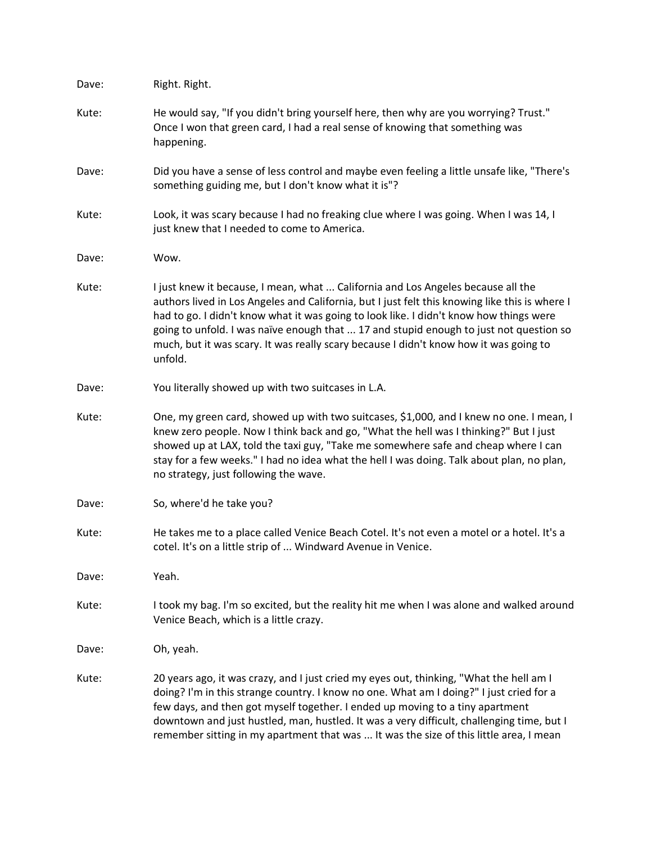| Dave: | Right. Right.                                                                                                                                                                                                                                                                                                                                                                                                                                                              |
|-------|----------------------------------------------------------------------------------------------------------------------------------------------------------------------------------------------------------------------------------------------------------------------------------------------------------------------------------------------------------------------------------------------------------------------------------------------------------------------------|
| Kute: | He would say, "If you didn't bring yourself here, then why are you worrying? Trust."<br>Once I won that green card, I had a real sense of knowing that something was<br>happening.                                                                                                                                                                                                                                                                                         |
| Dave: | Did you have a sense of less control and maybe even feeling a little unsafe like, "There's<br>something guiding me, but I don't know what it is"?                                                                                                                                                                                                                                                                                                                          |
| Kute: | Look, it was scary because I had no freaking clue where I was going. When I was 14, I<br>just knew that I needed to come to America.                                                                                                                                                                                                                                                                                                                                       |
| Dave: | Wow.                                                                                                                                                                                                                                                                                                                                                                                                                                                                       |
| Kute: | I just knew it because, I mean, what  California and Los Angeles because all the<br>authors lived in Los Angeles and California, but I just felt this knowing like this is where I<br>had to go. I didn't know what it was going to look like. I didn't know how things were<br>going to unfold. I was naïve enough that  17 and stupid enough to just not question so<br>much, but it was scary. It was really scary because I didn't know how it was going to<br>unfold. |
| Dave: | You literally showed up with two suitcases in L.A.                                                                                                                                                                                                                                                                                                                                                                                                                         |
| Kute: | One, my green card, showed up with two suitcases, \$1,000, and I knew no one. I mean, I<br>knew zero people. Now I think back and go, "What the hell was I thinking?" But I just<br>showed up at LAX, told the taxi guy, "Take me somewhere safe and cheap where I can<br>stay for a few weeks." I had no idea what the hell I was doing. Talk about plan, no plan,<br>no strategy, just following the wave.                                                               |
| Dave: | So, where'd he take you?                                                                                                                                                                                                                                                                                                                                                                                                                                                   |
| Kute: | He takes me to a place called Venice Beach Cotel. It's not even a motel or a hotel. It's a<br>cotel. It's on a little strip of  Windward Avenue in Venice.                                                                                                                                                                                                                                                                                                                 |
| Dave: | Yeah.                                                                                                                                                                                                                                                                                                                                                                                                                                                                      |
| Kute: | I took my bag. I'm so excited, but the reality hit me when I was alone and walked around<br>Venice Beach, which is a little crazy.                                                                                                                                                                                                                                                                                                                                         |
| Dave: | Oh, yeah.                                                                                                                                                                                                                                                                                                                                                                                                                                                                  |
| Kute: | 20 years ago, it was crazy, and I just cried my eyes out, thinking, "What the hell am I<br>doing? I'm in this strange country. I know no one. What am I doing?" I just cried for a<br>few days, and then got myself together. I ended up moving to a tiny apartment<br>downtown and just hustled, man, hustled. It was a very difficult, challenging time, but I<br>remember sitting in my apartment that was  It was the size of this little area, I mean                 |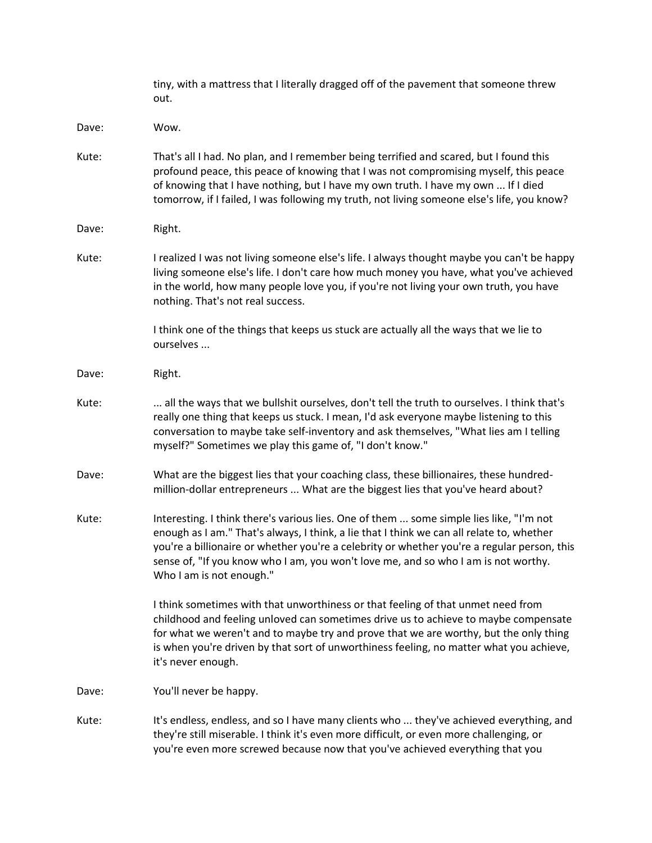|       | tiny, with a mattress that I literally dragged off of the pavement that someone threw<br>out.                                                                                                                                                                                                                                                                                                         |
|-------|-------------------------------------------------------------------------------------------------------------------------------------------------------------------------------------------------------------------------------------------------------------------------------------------------------------------------------------------------------------------------------------------------------|
| Dave: | Wow.                                                                                                                                                                                                                                                                                                                                                                                                  |
| Kute: | That's all I had. No plan, and I remember being terrified and scared, but I found this<br>profound peace, this peace of knowing that I was not compromising myself, this peace<br>of knowing that I have nothing, but I have my own truth. I have my own  If I died<br>tomorrow, if I failed, I was following my truth, not living someone else's life, you know?                                     |
| Dave: | Right.                                                                                                                                                                                                                                                                                                                                                                                                |
| Kute: | I realized I was not living someone else's life. I always thought maybe you can't be happy<br>living someone else's life. I don't care how much money you have, what you've achieved<br>in the world, how many people love you, if you're not living your own truth, you have<br>nothing. That's not real success.                                                                                    |
|       | I think one of the things that keeps us stuck are actually all the ways that we lie to<br>ourselves                                                                                                                                                                                                                                                                                                   |
| Dave: | Right.                                                                                                                                                                                                                                                                                                                                                                                                |
| Kute: | all the ways that we bullshit ourselves, don't tell the truth to ourselves. I think that's<br>really one thing that keeps us stuck. I mean, I'd ask everyone maybe listening to this<br>conversation to maybe take self-inventory and ask themselves, "What lies am I telling<br>myself?" Sometimes we play this game of, "I don't know."                                                             |
| Dave: | What are the biggest lies that your coaching class, these billionaires, these hundred-<br>million-dollar entrepreneurs  What are the biggest lies that you've heard about?                                                                                                                                                                                                                            |
| Kute: | Interesting. I think there's various lies. One of them  some simple lies like, "I'm not<br>enough as I am." That's always, I think, a lie that I think we can all relate to, whether<br>you're a billionaire or whether you're a celebrity or whether you're a regular person, this<br>sense of, "If you know who I am, you won't love me, and so who I am is not worthy.<br>Who I am is not enough." |
|       | I think sometimes with that unworthiness or that feeling of that unmet need from<br>childhood and feeling unloved can sometimes drive us to achieve to maybe compensate<br>for what we weren't and to maybe try and prove that we are worthy, but the only thing<br>is when you're driven by that sort of unworthiness feeling, no matter what you achieve,<br>it's never enough.                     |
| Dave: | You'll never be happy.                                                                                                                                                                                                                                                                                                                                                                                |
| Kute: | It's endless, endless, and so I have many clients who  they've achieved everything, and<br>they're still miserable. I think it's even more difficult, or even more challenging, or<br>you're even more screwed because now that you've achieved everything that you                                                                                                                                   |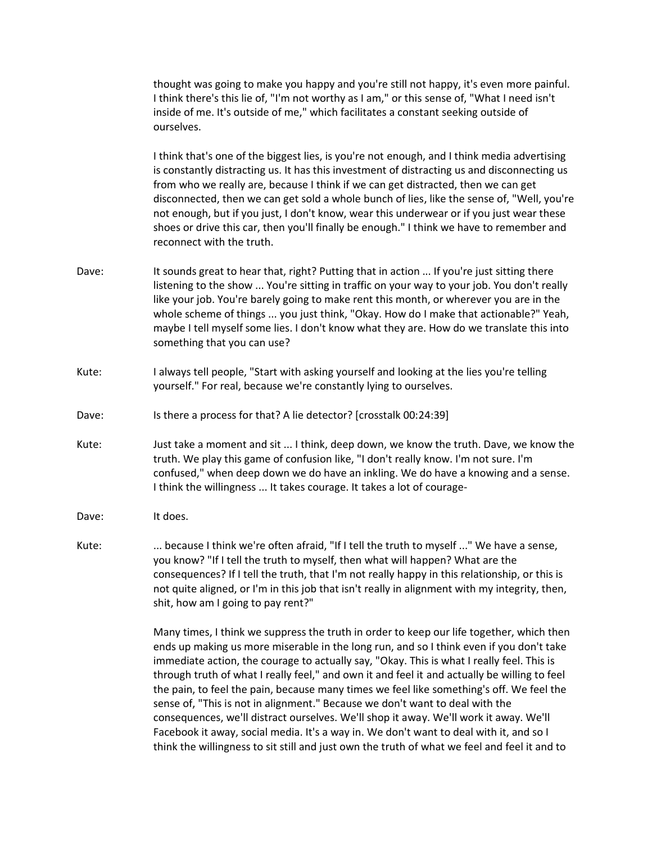thought was going to make you happy and you're still not happy, it's even more painful. I think there's this lie of, "I'm not worthy as I am," or this sense of, "What I need isn't inside of me. It's outside of me," which facilitates a constant seeking outside of ourselves.

I think that's one of the biggest lies, is you're not enough, and I think media advertising is constantly distracting us. It has this investment of distracting us and disconnecting us from who we really are, because I think if we can get distracted, then we can get disconnected, then we can get sold a whole bunch of lies, like the sense of, "Well, you're not enough, but if you just, I don't know, wear this underwear or if you just wear these shoes or drive this car, then you'll finally be enough." I think we have to remember and reconnect with the truth.

- Dave: It sounds great to hear that, right? Putting that in action ... If you're just sitting there listening to the show ... You're sitting in traffic on your way to your job. You don't really like your job. You're barely going to make rent this month, or wherever you are in the whole scheme of things ... you just think, "Okay. How do I make that actionable?" Yeah, maybe I tell myself some lies. I don't know what they are. How do we translate this into something that you can use?
- Kute: I always tell people, "Start with asking yourself and looking at the lies you're telling yourself." For real, because we're constantly lying to ourselves.
- Dave: Is there a process for that? A lie detector? [crosstalk 00:24:39]
- Kute: Just take a moment and sit ... I think, deep down, we know the truth. Dave, we know the truth. We play this game of confusion like, "I don't really know. I'm not sure. I'm confused," when deep down we do have an inkling. We do have a knowing and a sense. I think the willingness ... It takes courage. It takes a lot of courage-
- Dave: It does.
- Kute: ... because I think we're often afraid, "If I tell the truth to myself ..." We have a sense, you know? "If I tell the truth to myself, then what will happen? What are the consequences? If I tell the truth, that I'm not really happy in this relationship, or this is not quite aligned, or I'm in this job that isn't really in alignment with my integrity, then, shit, how am I going to pay rent?"

Many times, I think we suppress the truth in order to keep our life together, which then ends up making us more miserable in the long run, and so I think even if you don't take immediate action, the courage to actually say, "Okay. This is what I really feel. This is through truth of what I really feel," and own it and feel it and actually be willing to feel the pain, to feel the pain, because many times we feel like something's off. We feel the sense of, "This is not in alignment." Because we don't want to deal with the consequences, we'll distract ourselves. We'll shop it away. We'll work it away. We'll Facebook it away, social media. It's a way in. We don't want to deal with it, and so I think the willingness to sit still and just own the truth of what we feel and feel it and to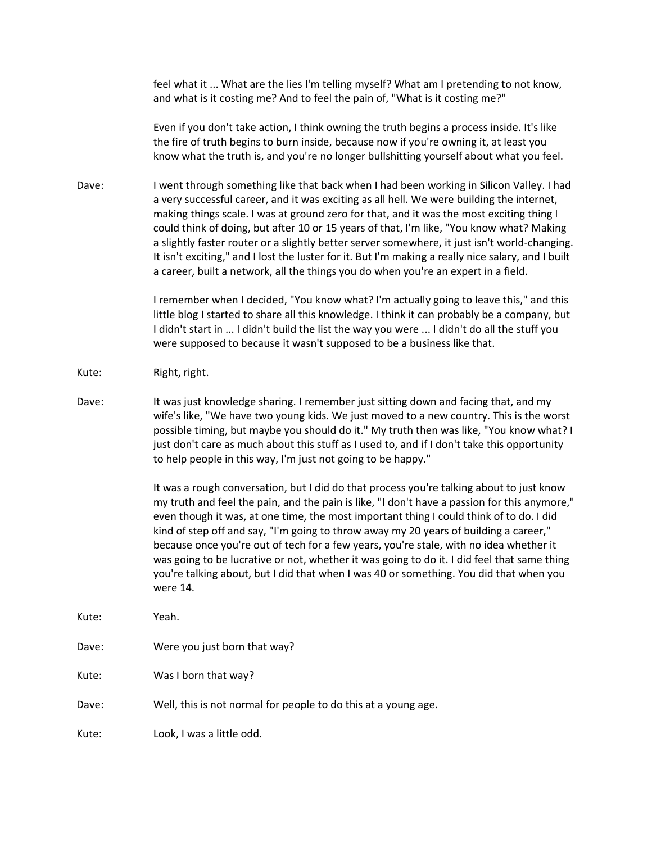feel what it ... What are the lies I'm telling myself? What am I pretending to not know, and what is it costing me? And to feel the pain of, "What is it costing me?"

Even if you don't take action, I think owning the truth begins a process inside. It's like the fire of truth begins to burn inside, because now if you're owning it, at least you know what the truth is, and you're no longer bullshitting yourself about what you feel.

Dave: I went through something like that back when I had been working in Silicon Valley. I had a very successful career, and it was exciting as all hell. We were building the internet, making things scale. I was at ground zero for that, and it was the most exciting thing I could think of doing, but after 10 or 15 years of that, I'm like, "You know what? Making a slightly faster router or a slightly better server somewhere, it just isn't world-changing. It isn't exciting," and I lost the luster for it. But I'm making a really nice salary, and I built a career, built a network, all the things you do when you're an expert in a field.

> I remember when I decided, "You know what? I'm actually going to leave this," and this little blog I started to share all this knowledge. I think it can probably be a company, but I didn't start in ... I didn't build the list the way you were ... I didn't do all the stuff you were supposed to because it wasn't supposed to be a business like that.

Kute: Right, right.

Dave: It was just knowledge sharing. I remember just sitting down and facing that, and my wife's like, "We have two young kids. We just moved to a new country. This is the worst possible timing, but maybe you should do it." My truth then was like, "You know what? I just don't care as much about this stuff as I used to, and if I don't take this opportunity to help people in this way, I'm just not going to be happy."

> It was a rough conversation, but I did do that process you're talking about to just know my truth and feel the pain, and the pain is like, "I don't have a passion for this anymore," even though it was, at one time, the most important thing I could think of to do. I did kind of step off and say, "I'm going to throw away my 20 years of building a career," because once you're out of tech for a few years, you're stale, with no idea whether it was going to be lucrative or not, whether it was going to do it. I did feel that same thing you're talking about, but I did that when I was 40 or something. You did that when you were 14.

- Kute: Yeah.
- Dave: Were you just born that way?

Kute: Was I born that way?

Dave: Well, this is not normal for people to do this at a young age.

Kute: Look, I was a little odd.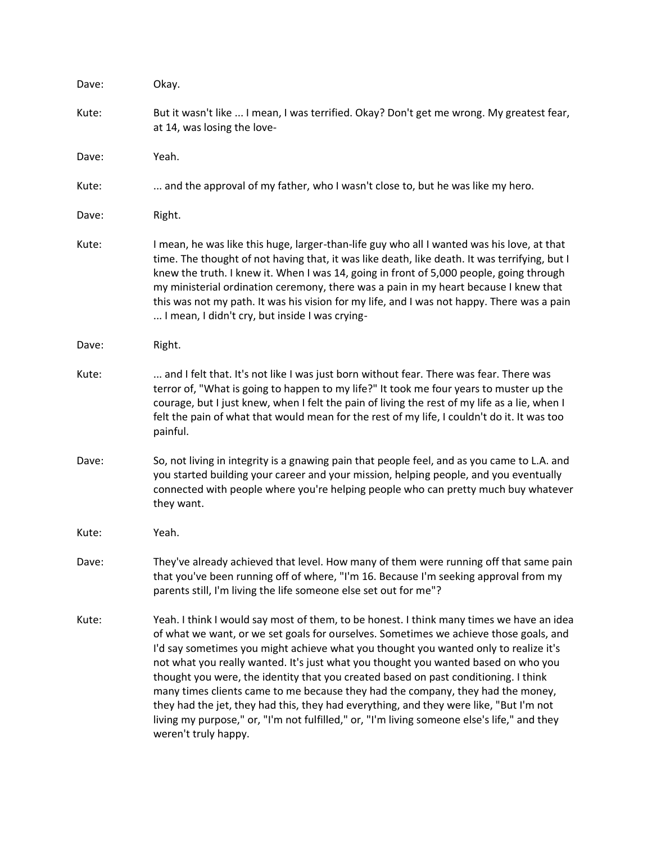| Dave: | Okay.                                                                                                                                                                                                                                                                                                                                                                                                                                                                                                                                                                                                                                                                                                                                                      |
|-------|------------------------------------------------------------------------------------------------------------------------------------------------------------------------------------------------------------------------------------------------------------------------------------------------------------------------------------------------------------------------------------------------------------------------------------------------------------------------------------------------------------------------------------------------------------------------------------------------------------------------------------------------------------------------------------------------------------------------------------------------------------|
| Kute: | But it wasn't like  I mean, I was terrified. Okay? Don't get me wrong. My greatest fear,<br>at 14, was losing the love-                                                                                                                                                                                                                                                                                                                                                                                                                                                                                                                                                                                                                                    |
| Dave: | Yeah.                                                                                                                                                                                                                                                                                                                                                                                                                                                                                                                                                                                                                                                                                                                                                      |
| Kute: | and the approval of my father, who I wasn't close to, but he was like my hero.                                                                                                                                                                                                                                                                                                                                                                                                                                                                                                                                                                                                                                                                             |
| Dave: | Right.                                                                                                                                                                                                                                                                                                                                                                                                                                                                                                                                                                                                                                                                                                                                                     |
| Kute: | I mean, he was like this huge, larger-than-life guy who all I wanted was his love, at that<br>time. The thought of not having that, it was like death, like death. It was terrifying, but I<br>knew the truth. I knew it. When I was 14, going in front of 5,000 people, going through<br>my ministerial ordination ceremony, there was a pain in my heart because I knew that<br>this was not my path. It was his vision for my life, and I was not happy. There was a pain<br>I mean, I didn't cry, but inside I was crying-                                                                                                                                                                                                                             |
| Dave: | Right.                                                                                                                                                                                                                                                                                                                                                                                                                                                                                                                                                                                                                                                                                                                                                     |
| Kute: | and I felt that. It's not like I was just born without fear. There was fear. There was<br>terror of, "What is going to happen to my life?" It took me four years to muster up the<br>courage, but I just knew, when I felt the pain of living the rest of my life as a lie, when I<br>felt the pain of what that would mean for the rest of my life, I couldn't do it. It was too<br>painful.                                                                                                                                                                                                                                                                                                                                                              |
| Dave: | So, not living in integrity is a gnawing pain that people feel, and as you came to L.A. and<br>you started building your career and your mission, helping people, and you eventually<br>connected with people where you're helping people who can pretty much buy whatever<br>they want.                                                                                                                                                                                                                                                                                                                                                                                                                                                                   |
| Kute: | Yeah.                                                                                                                                                                                                                                                                                                                                                                                                                                                                                                                                                                                                                                                                                                                                                      |
| Dave: | They've already achieved that level. How many of them were running off that same pain<br>that you've been running off of where, "I'm 16. Because I'm seeking approval from my<br>parents still, I'm living the life someone else set out for me"?                                                                                                                                                                                                                                                                                                                                                                                                                                                                                                          |
| Kute: | Yeah. I think I would say most of them, to be honest. I think many times we have an idea<br>of what we want, or we set goals for ourselves. Sometimes we achieve those goals, and<br>I'd say sometimes you might achieve what you thought you wanted only to realize it's<br>not what you really wanted. It's just what you thought you wanted based on who you<br>thought you were, the identity that you created based on past conditioning. I think<br>many times clients came to me because they had the company, they had the money,<br>they had the jet, they had this, they had everything, and they were like, "But I'm not<br>living my purpose," or, "I'm not fulfilled," or, "I'm living someone else's life," and they<br>weren't truly happy. |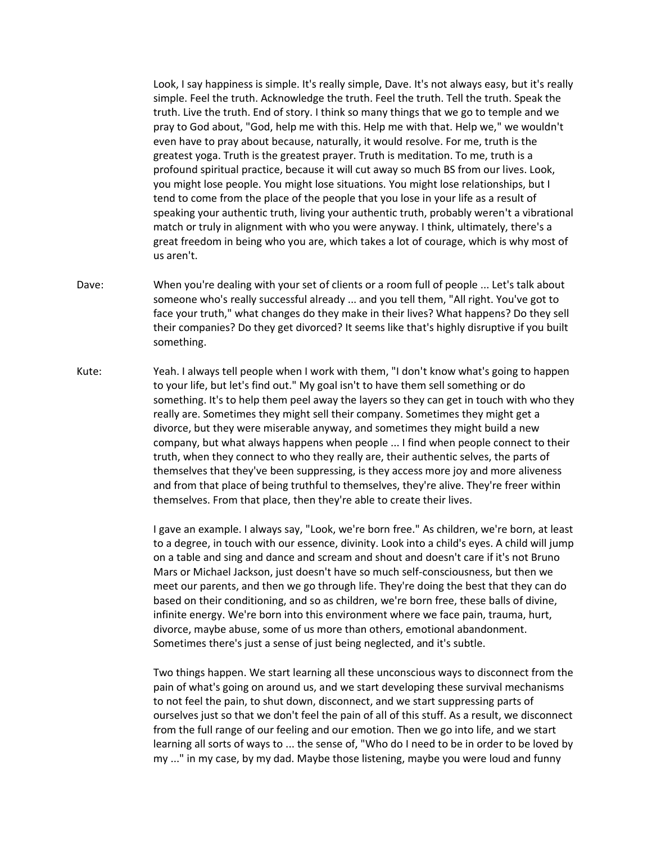Look, I say happiness is simple. It's really simple, Dave. It's not always easy, but it's really simple. Feel the truth. Acknowledge the truth. Feel the truth. Tell the truth. Speak the truth. Live the truth. End of story. I think so many things that we go to temple and we pray to God about, "God, help me with this. Help me with that. Help we," we wouldn't even have to pray about because, naturally, it would resolve. For me, truth is the greatest yoga. Truth is the greatest prayer. Truth is meditation. To me, truth is a profound spiritual practice, because it will cut away so much BS from our lives. Look, you might lose people. You might lose situations. You might lose relationships, but I tend to come from the place of the people that you lose in your life as a result of speaking your authentic truth, living your authentic truth, probably weren't a vibrational match or truly in alignment with who you were anyway. I think, ultimately, there's a great freedom in being who you are, which takes a lot of courage, which is why most of us aren't.

- Dave: When you're dealing with your set of clients or a room full of people ... Let's talk about someone who's really successful already ... and you tell them, "All right. You've got to face your truth," what changes do they make in their lives? What happens? Do they sell their companies? Do they get divorced? It seems like that's highly disruptive if you built something.
- Kute: Yeah. I always tell people when I work with them, "I don't know what's going to happen to your life, but let's find out." My goal isn't to have them sell something or do something. It's to help them peel away the layers so they can get in touch with who they really are. Sometimes they might sell their company. Sometimes they might get a divorce, but they were miserable anyway, and sometimes they might build a new company, but what always happens when people ... I find when people connect to their truth, when they connect to who they really are, their authentic selves, the parts of themselves that they've been suppressing, is they access more joy and more aliveness and from that place of being truthful to themselves, they're alive. They're freer within themselves. From that place, then they're able to create their lives.

I gave an example. I always say, "Look, we're born free." As children, we're born, at least to a degree, in touch with our essence, divinity. Look into a child's eyes. A child will jump on a table and sing and dance and scream and shout and doesn't care if it's not Bruno Mars or Michael Jackson, just doesn't have so much self-consciousness, but then we meet our parents, and then we go through life. They're doing the best that they can do based on their conditioning, and so as children, we're born free, these balls of divine, infinite energy. We're born into this environment where we face pain, trauma, hurt, divorce, maybe abuse, some of us more than others, emotional abandonment. Sometimes there's just a sense of just being neglected, and it's subtle.

Two things happen. We start learning all these unconscious ways to disconnect from the pain of what's going on around us, and we start developing these survival mechanisms to not feel the pain, to shut down, disconnect, and we start suppressing parts of ourselves just so that we don't feel the pain of all of this stuff. As a result, we disconnect from the full range of our feeling and our emotion. Then we go into life, and we start learning all sorts of ways to ... the sense of, "Who do I need to be in order to be loved by my ..." in my case, by my dad. Maybe those listening, maybe you were loud and funny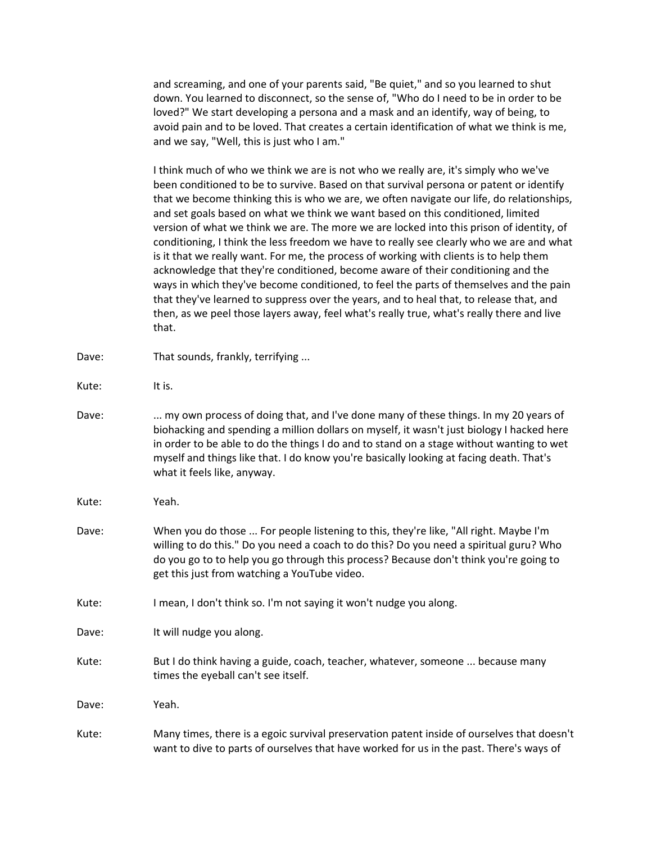and screaming, and one of your parents said, "Be quiet," and so you learned to shut down. You learned to disconnect, so the sense of, "Who do I need to be in order to be loved?" We start developing a persona and a mask and an identify, way of being, to avoid pain and to be loved. That creates a certain identification of what we think is me, and we say, "Well, this is just who I am."

I think much of who we think we are is not who we really are, it's simply who we've been conditioned to be to survive. Based on that survival persona or patent or identify that we become thinking this is who we are, we often navigate our life, do relationships, and set goals based on what we think we want based on this conditioned, limited version of what we think we are. The more we are locked into this prison of identity, of conditioning, I think the less freedom we have to really see clearly who we are and what is it that we really want. For me, the process of working with clients is to help them acknowledge that they're conditioned, become aware of their conditioning and the ways in which they've become conditioned, to feel the parts of themselves and the pain that they've learned to suppress over the years, and to heal that, to release that, and then, as we peel those layers away, feel what's really true, what's really there and live that.

- Dave: That sounds, frankly, terrifying ...
- Kute: It is.
- Dave: ... my own process of doing that, and I've done many of these things. In my 20 years of biohacking and spending a million dollars on myself, it wasn't just biology I hacked here in order to be able to do the things I do and to stand on a stage without wanting to wet myself and things like that. I do know you're basically looking at facing death. That's what it feels like, anyway.
- Kute: Yeah.
- Dave: When you do those ... For people listening to this, they're like, "All right. Maybe I'm willing to do this." Do you need a coach to do this? Do you need a spiritual guru? Who do you go to to help you go through this process? Because don't think you're going to get this just from watching a YouTube video.
- Kute: I mean, I don't think so. I'm not saying it won't nudge you along.
- Dave: It will nudge you along.
- Kute: But I do think having a guide, coach, teacher, whatever, someone ... because many times the eyeball can't see itself.

Dave: Yeah.

Kute: Many times, there is a egoic survival preservation patent inside of ourselves that doesn't want to dive to parts of ourselves that have worked for us in the past. There's ways of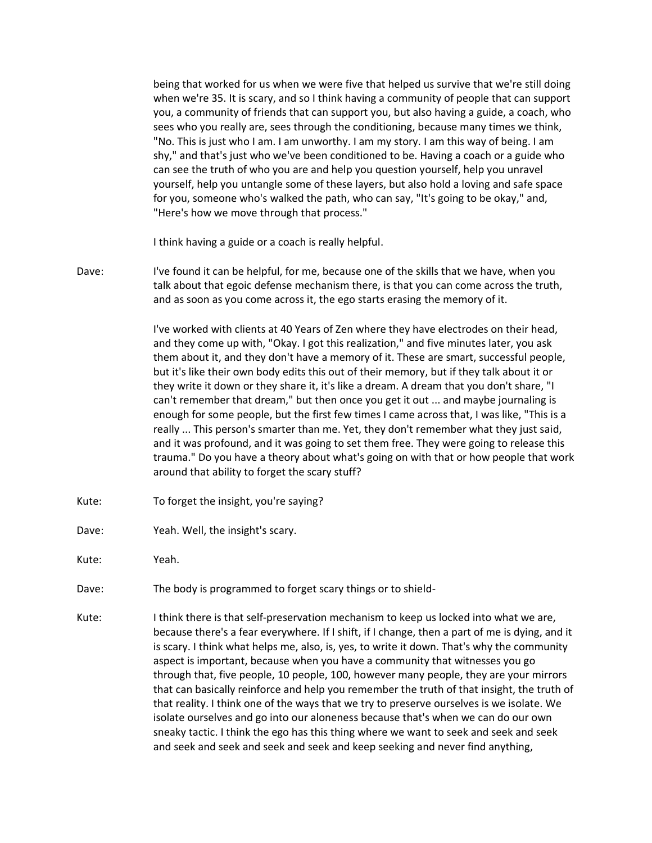being that worked for us when we were five that helped us survive that we're still doing when we're 35. It is scary, and so I think having a community of people that can support you, a community of friends that can support you, but also having a guide, a coach, who sees who you really are, sees through the conditioning, because many times we think, "No. This is just who I am. I am unworthy. I am my story. I am this way of being. I am shy," and that's just who we've been conditioned to be. Having a coach or a guide who can see the truth of who you are and help you question yourself, help you unravel yourself, help you untangle some of these layers, but also hold a loving and safe space for you, someone who's walked the path, who can say, "It's going to be okay," and, "Here's how we move through that process."

I think having a guide or a coach is really helpful.

Dave: I've found it can be helpful, for me, because one of the skills that we have, when you talk about that egoic defense mechanism there, is that you can come across the truth, and as soon as you come across it, the ego starts erasing the memory of it.

> I've worked with clients at 40 Years of Zen where they have electrodes on their head, and they come up with, "Okay. I got this realization," and five minutes later, you ask them about it, and they don't have a memory of it. These are smart, successful people, but it's like their own body edits this out of their memory, but if they talk about it or they write it down or they share it, it's like a dream. A dream that you don't share, "I can't remember that dream," but then once you get it out ... and maybe journaling is enough for some people, but the first few times I came across that, I was like, "This is a really ... This person's smarter than me. Yet, they don't remember what they just said, and it was profound, and it was going to set them free. They were going to release this trauma." Do you have a theory about what's going on with that or how people that work around that ability to forget the scary stuff?

- Kute: To forget the insight, you're saying?
- Dave: Yeah. Well, the insight's scary.

Kute: Yeah.

- Dave: The body is programmed to forget scary things or to shield-
- Kute: I think there is that self-preservation mechanism to keep us locked into what we are, because there's a fear everywhere. If I shift, if I change, then a part of me is dying, and it is scary. I think what helps me, also, is, yes, to write it down. That's why the community aspect is important, because when you have a community that witnesses you go through that, five people, 10 people, 100, however many people, they are your mirrors that can basically reinforce and help you remember the truth of that insight, the truth of that reality. I think one of the ways that we try to preserve ourselves is we isolate. We isolate ourselves and go into our aloneness because that's when we can do our own sneaky tactic. I think the ego has this thing where we want to seek and seek and seek and seek and seek and seek and seek and keep seeking and never find anything,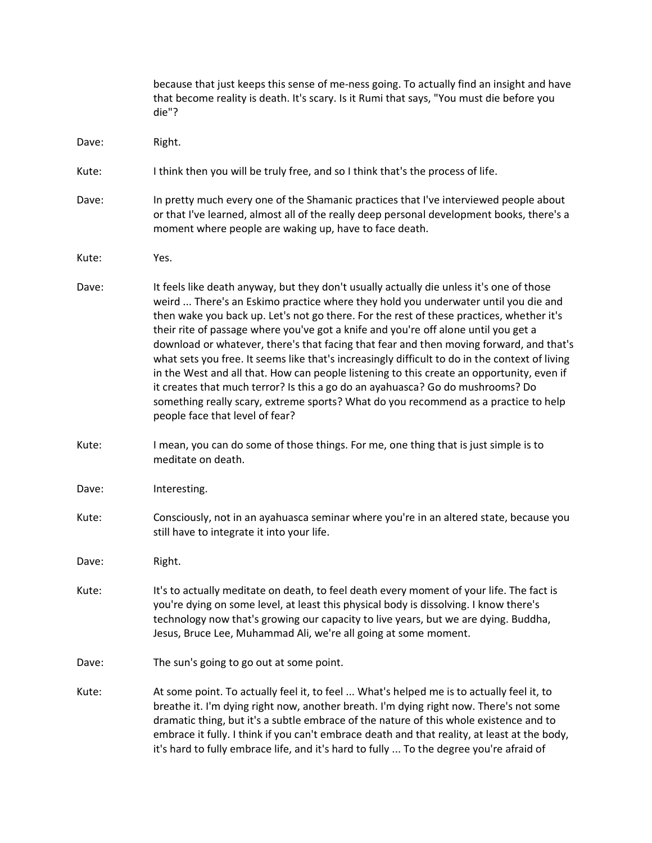|       | because that just keeps this sense of me-ness going. To actually find an insight and have<br>that become reality is death. It's scary. Is it Rumi that says, "You must die before you<br>die"?                                                                                                                                                                                                                                                                                                                                                                                                                                                                                                                                                                                                                                                                          |
|-------|-------------------------------------------------------------------------------------------------------------------------------------------------------------------------------------------------------------------------------------------------------------------------------------------------------------------------------------------------------------------------------------------------------------------------------------------------------------------------------------------------------------------------------------------------------------------------------------------------------------------------------------------------------------------------------------------------------------------------------------------------------------------------------------------------------------------------------------------------------------------------|
| Dave: | Right.                                                                                                                                                                                                                                                                                                                                                                                                                                                                                                                                                                                                                                                                                                                                                                                                                                                                  |
| Kute: | I think then you will be truly free, and so I think that's the process of life.                                                                                                                                                                                                                                                                                                                                                                                                                                                                                                                                                                                                                                                                                                                                                                                         |
| Dave: | In pretty much every one of the Shamanic practices that I've interviewed people about<br>or that I've learned, almost all of the really deep personal development books, there's a<br>moment where people are waking up, have to face death.                                                                                                                                                                                                                                                                                                                                                                                                                                                                                                                                                                                                                            |
| Kute: | Yes.                                                                                                                                                                                                                                                                                                                                                                                                                                                                                                                                                                                                                                                                                                                                                                                                                                                                    |
| Dave: | It feels like death anyway, but they don't usually actually die unless it's one of those<br>weird  There's an Eskimo practice where they hold you underwater until you die and<br>then wake you back up. Let's not go there. For the rest of these practices, whether it's<br>their rite of passage where you've got a knife and you're off alone until you get a<br>download or whatever, there's that facing that fear and then moving forward, and that's<br>what sets you free. It seems like that's increasingly difficult to do in the context of living<br>in the West and all that. How can people listening to this create an opportunity, even if<br>it creates that much terror? Is this a go do an ayahuasca? Go do mushrooms? Do<br>something really scary, extreme sports? What do you recommend as a practice to help<br>people face that level of fear? |
| Kute: | I mean, you can do some of those things. For me, one thing that is just simple is to<br>meditate on death.                                                                                                                                                                                                                                                                                                                                                                                                                                                                                                                                                                                                                                                                                                                                                              |
| Dave: | Interesting.                                                                                                                                                                                                                                                                                                                                                                                                                                                                                                                                                                                                                                                                                                                                                                                                                                                            |
| Kute: | Consciously, not in an ayahuasca seminar where you're in an altered state, because you<br>still have to integrate it into your life.                                                                                                                                                                                                                                                                                                                                                                                                                                                                                                                                                                                                                                                                                                                                    |
| Dave: | Right.                                                                                                                                                                                                                                                                                                                                                                                                                                                                                                                                                                                                                                                                                                                                                                                                                                                                  |
| Kute: | It's to actually meditate on death, to feel death every moment of your life. The fact is<br>you're dying on some level, at least this physical body is dissolving. I know there's<br>technology now that's growing our capacity to live years, but we are dying. Buddha,<br>Jesus, Bruce Lee, Muhammad Ali, we're all going at some moment.                                                                                                                                                                                                                                                                                                                                                                                                                                                                                                                             |
| Dave: | The sun's going to go out at some point.                                                                                                                                                                                                                                                                                                                                                                                                                                                                                                                                                                                                                                                                                                                                                                                                                                |
| Kute: | At some point. To actually feel it, to feel  What's helped me is to actually feel it, to<br>breathe it. I'm dying right now, another breath. I'm dying right now. There's not some<br>dramatic thing, but it's a subtle embrace of the nature of this whole existence and to<br>embrace it fully. I think if you can't embrace death and that reality, at least at the body,<br>it's hard to fully embrace life, and it's hard to fully  To the degree you're afraid of                                                                                                                                                                                                                                                                                                                                                                                                 |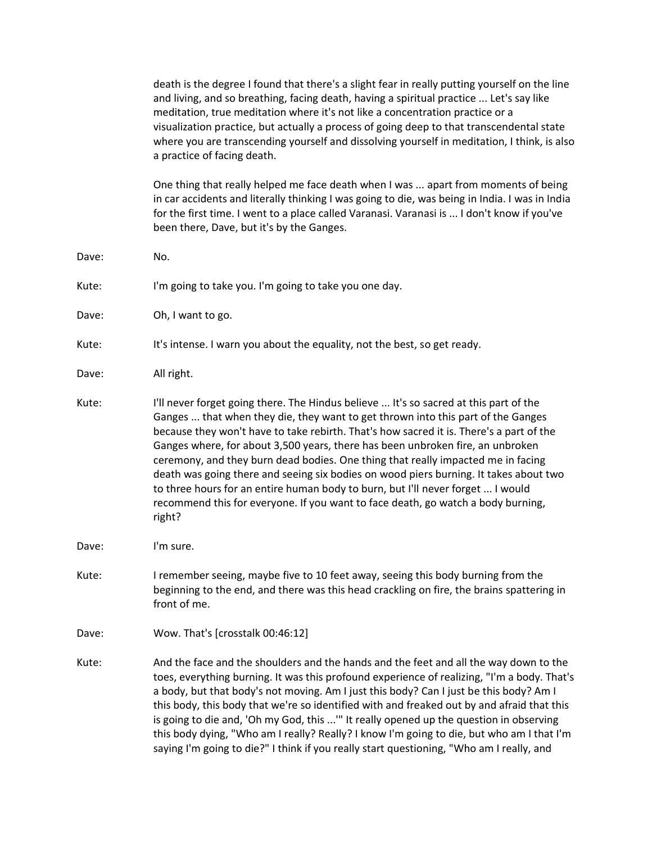death is the degree I found that there's a slight fear in really putting yourself on the line and living, and so breathing, facing death, having a spiritual practice ... Let's say like meditation, true meditation where it's not like a concentration practice or a visualization practice, but actually a process of going deep to that transcendental state where you are transcending yourself and dissolving yourself in meditation, I think, is also a practice of facing death.

One thing that really helped me face death when I was ... apart from moments of being in car accidents and literally thinking I was going to die, was being in India. I was in India for the first time. I went to a place called Varanasi. Varanasi is ... I don't know if you've been there, Dave, but it's by the Ganges.

Kute: I'm going to take you. I'm going to take you one day.

Dave: Oh, I want to go.

Kute: It's intense. I warn you about the equality, not the best, so get ready.

Dave: All right.

Dave: No.

- Kute: I'll never forget going there. The Hindus believe ... It's so sacred at this part of the Ganges ... that when they die, they want to get thrown into this part of the Ganges because they won't have to take rebirth. That's how sacred it is. There's a part of the Ganges where, for about 3,500 years, there has been unbroken fire, an unbroken ceremony, and they burn dead bodies. One thing that really impacted me in facing death was going there and seeing six bodies on wood piers burning. It takes about two to three hours for an entire human body to burn, but I'll never forget ... I would recommend this for everyone. If you want to face death, go watch a body burning, right?
- Dave: I'm sure.
- Kute: I remember seeing, maybe five to 10 feet away, seeing this body burning from the beginning to the end, and there was this head crackling on fire, the brains spattering in front of me.
- Dave: Wow. That's [crosstalk 00:46:12]
- Kute: And the face and the shoulders and the hands and the feet and all the way down to the toes, everything burning. It was this profound experience of realizing, "I'm a body. That's a body, but that body's not moving. Am I just this body? Can I just be this body? Am I this body, this body that we're so identified with and freaked out by and afraid that this is going to die and, 'Oh my God, this ...'" It really opened up the question in observing this body dying, "Who am I really? Really? I know I'm going to die, but who am I that I'm saying I'm going to die?" I think if you really start questioning, "Who am I really, and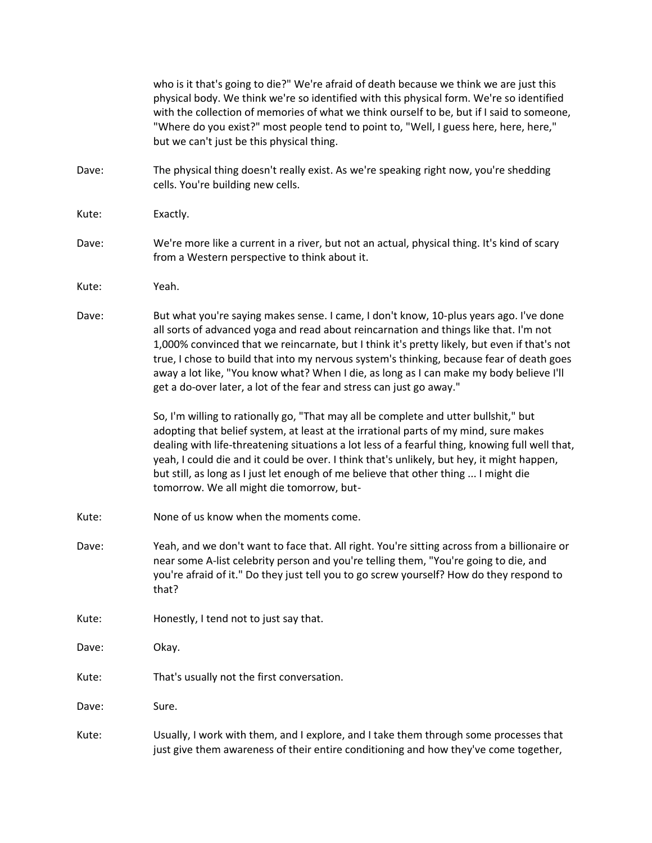|       | who is it that's going to die?" We're afraid of death because we think we are just this<br>physical body. We think we're so identified with this physical form. We're so identified<br>with the collection of memories of what we think ourself to be, but if I said to someone,<br>"Where do you exist?" most people tend to point to, "Well, I guess here, here, here,"<br>but we can't just be this physical thing.                                                                                                                          |
|-------|-------------------------------------------------------------------------------------------------------------------------------------------------------------------------------------------------------------------------------------------------------------------------------------------------------------------------------------------------------------------------------------------------------------------------------------------------------------------------------------------------------------------------------------------------|
| Dave: | The physical thing doesn't really exist. As we're speaking right now, you're shedding<br>cells. You're building new cells.                                                                                                                                                                                                                                                                                                                                                                                                                      |
| Kute: | Exactly.                                                                                                                                                                                                                                                                                                                                                                                                                                                                                                                                        |
| Dave: | We're more like a current in a river, but not an actual, physical thing. It's kind of scary<br>from a Western perspective to think about it.                                                                                                                                                                                                                                                                                                                                                                                                    |
| Kute: | Yeah.                                                                                                                                                                                                                                                                                                                                                                                                                                                                                                                                           |
| Dave: | But what you're saying makes sense. I came, I don't know, 10-plus years ago. I've done<br>all sorts of advanced yoga and read about reincarnation and things like that. I'm not<br>1,000% convinced that we reincarnate, but I think it's pretty likely, but even if that's not<br>true, I chose to build that into my nervous system's thinking, because fear of death goes<br>away a lot like, "You know what? When I die, as long as I can make my body believe I'll<br>get a do-over later, a lot of the fear and stress can just go away." |
|       | So, I'm willing to rationally go, "That may all be complete and utter bullshit," but<br>adopting that belief system, at least at the irrational parts of my mind, sure makes<br>dealing with life-threatening situations a lot less of a fearful thing, knowing full well that,<br>yeah, I could die and it could be over. I think that's unlikely, but hey, it might happen,<br>but still, as long as I just let enough of me believe that other thing  I might die<br>tomorrow. We all might die tomorrow, but-                               |
| Kute: | None of us know when the moments come.                                                                                                                                                                                                                                                                                                                                                                                                                                                                                                          |
| Dave: | Yeah, and we don't want to face that. All right. You're sitting across from a billionaire or<br>near some A-list celebrity person and you're telling them, "You're going to die, and<br>you're afraid of it." Do they just tell you to go screw yourself? How do they respond to<br>that?                                                                                                                                                                                                                                                       |
| Kute: | Honestly, I tend not to just say that.                                                                                                                                                                                                                                                                                                                                                                                                                                                                                                          |
| Dave: | Okay.                                                                                                                                                                                                                                                                                                                                                                                                                                                                                                                                           |
| Kute: | That's usually not the first conversation.                                                                                                                                                                                                                                                                                                                                                                                                                                                                                                      |
| Dave: | Sure.                                                                                                                                                                                                                                                                                                                                                                                                                                                                                                                                           |
| Kute: | Usually, I work with them, and I explore, and I take them through some processes that<br>just give them awareness of their entire conditioning and how they've come together,                                                                                                                                                                                                                                                                                                                                                                   |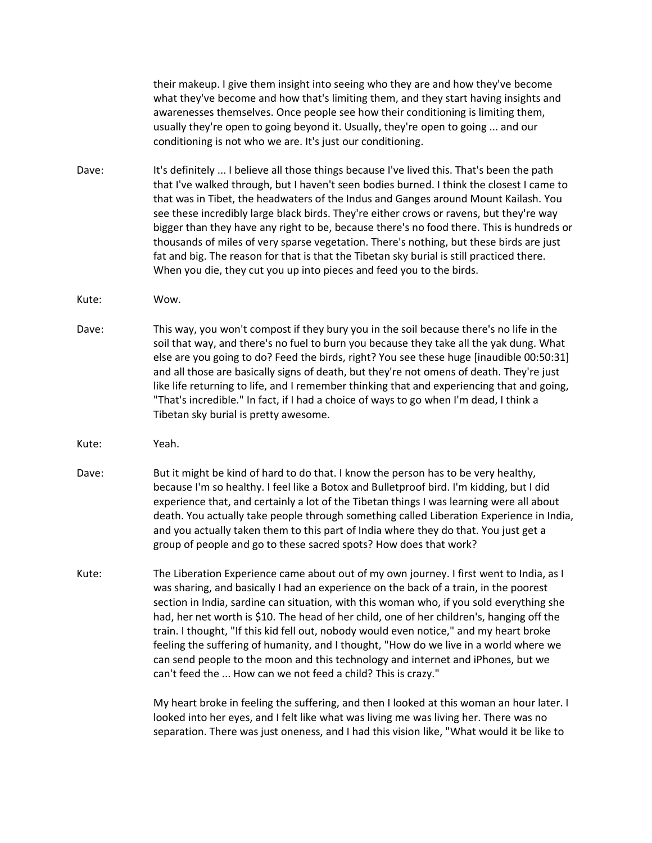their makeup. I give them insight into seeing who they are and how they've become what they've become and how that's limiting them, and they start having insights and awarenesses themselves. Once people see how their conditioning is limiting them, usually they're open to going beyond it. Usually, they're open to going ... and our conditioning is not who we are. It's just our conditioning.

- Dave: It's definitely ... I believe all those things because I've lived this. That's been the path that I've walked through, but I haven't seen bodies burned. I think the closest I came to that was in Tibet, the headwaters of the Indus and Ganges around Mount Kailash. You see these incredibly large black birds. They're either crows or ravens, but they're way bigger than they have any right to be, because there's no food there. This is hundreds or thousands of miles of very sparse vegetation. There's nothing, but these birds are just fat and big. The reason for that is that the Tibetan sky burial is still practiced there. When you die, they cut you up into pieces and feed you to the birds.
- Kute: Wow.
- Dave: This way, you won't compost if they bury you in the soil because there's no life in the soil that way, and there's no fuel to burn you because they take all the yak dung. What else are you going to do? Feed the birds, right? You see these huge [inaudible 00:50:31] and all those are basically signs of death, but they're not omens of death. They're just like life returning to life, and I remember thinking that and experiencing that and going, "That's incredible." In fact, if I had a choice of ways to go when I'm dead, I think a Tibetan sky burial is pretty awesome.
- Kute: Yeah.
- Dave: But it might be kind of hard to do that. I know the person has to be very healthy, because I'm so healthy. I feel like a Botox and Bulletproof bird. I'm kidding, but I did experience that, and certainly a lot of the Tibetan things I was learning were all about death. You actually take people through something called Liberation Experience in India, and you actually taken them to this part of India where they do that. You just get a group of people and go to these sacred spots? How does that work?
- Kute: The Liberation Experience came about out of my own journey. I first went to India, as I was sharing, and basically I had an experience on the back of a train, in the poorest section in India, sardine can situation, with this woman who, if you sold everything she had, her net worth is \$10. The head of her child, one of her children's, hanging off the train. I thought, "If this kid fell out, nobody would even notice," and my heart broke feeling the suffering of humanity, and I thought, "How do we live in a world where we can send people to the moon and this technology and internet and iPhones, but we can't feed the ... How can we not feed a child? This is crazy."

My heart broke in feeling the suffering, and then I looked at this woman an hour later. I looked into her eyes, and I felt like what was living me was living her. There was no separation. There was just oneness, and I had this vision like, "What would it be like to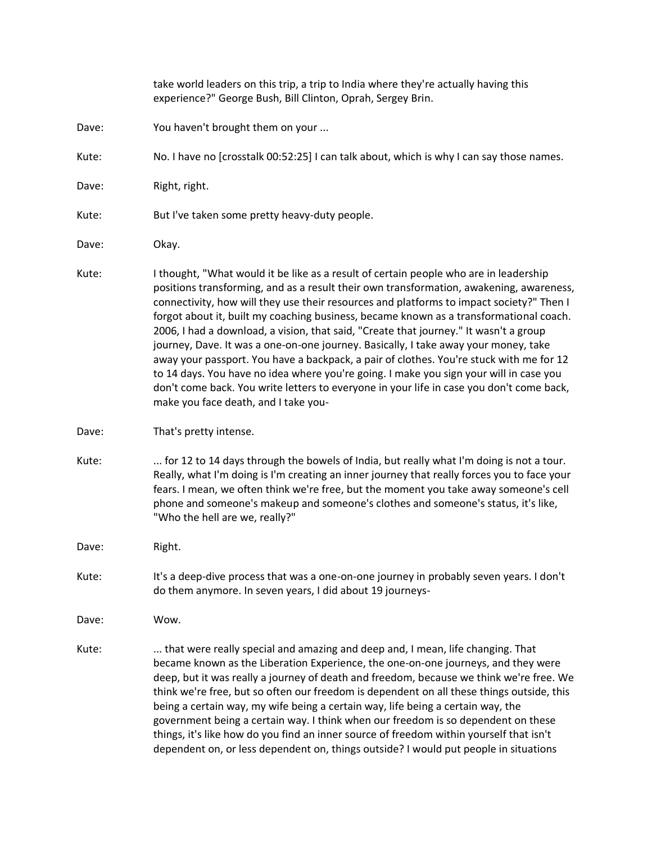take world leaders on this trip, a trip to India where they're actually having this experience?" George Bush, Bill Clinton, Oprah, Sergey Brin. Dave: You haven't brought them on your ... Kute: No. I have no [crosstalk 00:52:25] I can talk about, which is why I can say those names. Dave: Right, right. Kute: But I've taken some pretty heavy-duty people. Dave: Okay. Kute: I thought, "What would it be like as a result of certain people who are in leadership positions transforming, and as a result their own transformation, awakening, awareness, connectivity, how will they use their resources and platforms to impact society?" Then I forgot about it, built my coaching business, became known as a transformational coach. 2006, I had a download, a vision, that said, "Create that journey." It wasn't a group journey, Dave. It was a one-on-one journey. Basically, I take away your money, take away your passport. You have a backpack, a pair of clothes. You're stuck with me for 12 to 14 days. You have no idea where you're going. I make you sign your will in case you don't come back. You write letters to everyone in your life in case you don't come back, make you face death, and I take you-Dave: That's pretty intense. Kute: ... for 12 to 14 days through the bowels of India, but really what I'm doing is not a tour. Really, what I'm doing is I'm creating an inner journey that really forces you to face your fears. I mean, we often think we're free, but the moment you take away someone's cell phone and someone's makeup and someone's clothes and someone's status, it's like, "Who the hell are we, really?" Dave: Right. Kute: It's a deep-dive process that was a one-on-one journey in probably seven years. I don't do them anymore. In seven years, I did about 19 journeys-Dave: Wow. Kute: .... that were really special and amazing and deep and, I mean, life changing. That became known as the Liberation Experience, the one-on-one journeys, and they were deep, but it was really a journey of death and freedom, because we think we're free. We think we're free, but so often our freedom is dependent on all these things outside, this being a certain way, my wife being a certain way, life being a certain way, the government being a certain way. I think when our freedom is so dependent on these things, it's like how do you find an inner source of freedom within yourself that isn't dependent on, or less dependent on, things outside? I would put people in situations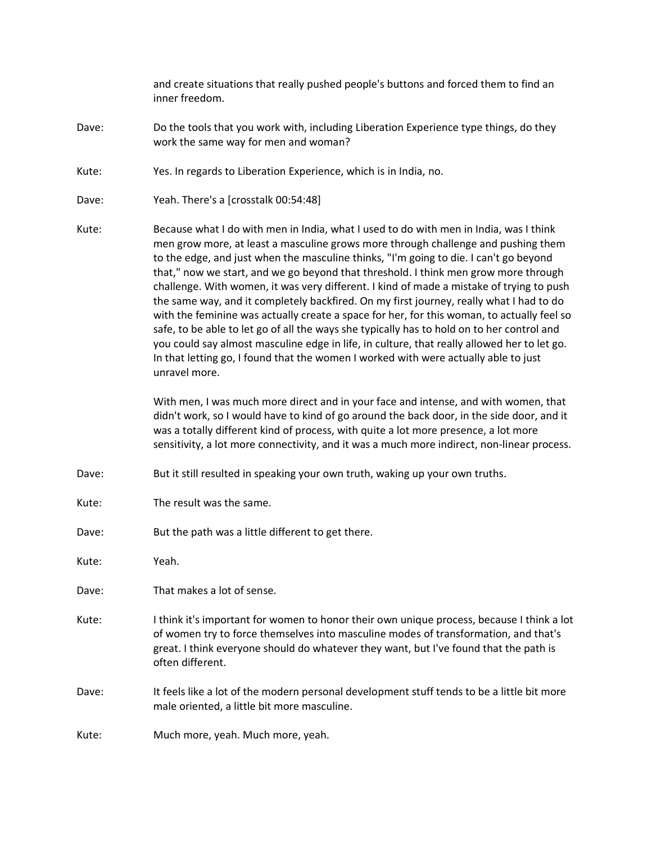and create situations that really pushed people's buttons and forced them to find an inner freedom.

- Dave: Do the tools that you work with, including Liberation Experience type things, do they work the same way for men and woman?
- Kute: Yes. In regards to Liberation Experience, which is in India, no.
- Dave: Yeah. There's a [crosstalk 00:54:48]
- Kute: Because what I do with men in India, what I used to do with men in India, was I think men grow more, at least a masculine grows more through challenge and pushing them to the edge, and just when the masculine thinks, "I'm going to die. I can't go beyond that," now we start, and we go beyond that threshold. I think men grow more through challenge. With women, it was very different. I kind of made a mistake of trying to push the same way, and it completely backfired. On my first journey, really what I had to do with the feminine was actually create a space for her, for this woman, to actually feel so safe, to be able to let go of all the ways she typically has to hold on to her control and you could say almost masculine edge in life, in culture, that really allowed her to let go. In that letting go, I found that the women I worked with were actually able to just unravel more.

With men, I was much more direct and in your face and intense, and with women, that didn't work, so I would have to kind of go around the back door, in the side door, and it was a totally different kind of process, with quite a lot more presence, a lot more sensitivity, a lot more connectivity, and it was a much more indirect, non-linear process.

- Dave: But it still resulted in speaking your own truth, waking up your own truths.
- Kute: The result was the same.
- Dave: But the path was a little different to get there.

Kute: Yeah.

Dave: That makes a lot of sense.

- Kute: I think it's important for women to honor their own unique process, because I think a lot of women try to force themselves into masculine modes of transformation, and that's great. I think everyone should do whatever they want, but I've found that the path is often different.
- Dave: It feels like a lot of the modern personal development stuff tends to be a little bit more male oriented, a little bit more masculine.

Kute: Much more, yeah. Much more, yeah.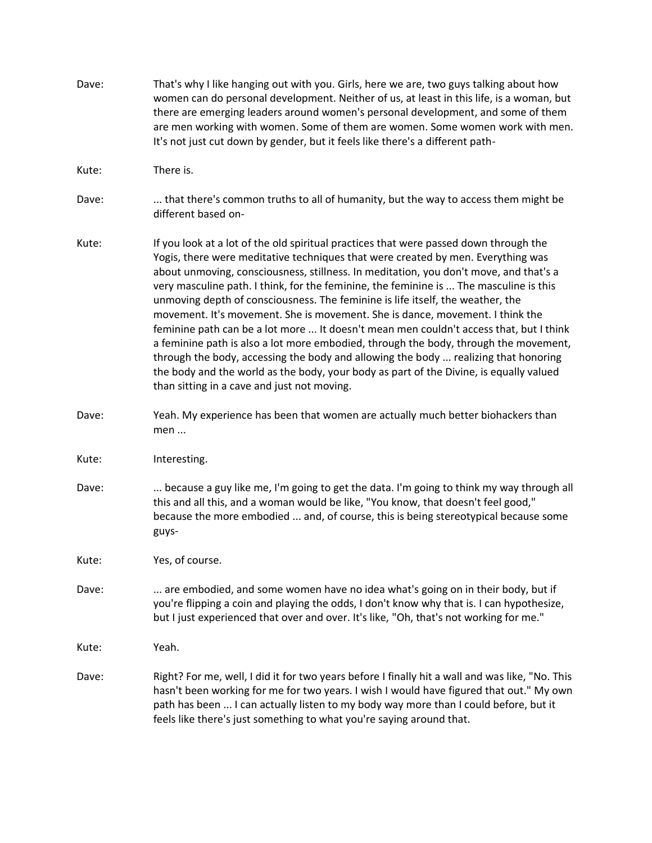| Dave: | That's why I like hanging out with you. Girls, here we are, two guys talking about how<br>women can do personal development. Neither of us, at least in this life, is a woman, but<br>there are emerging leaders around women's personal development, and some of them<br>are men working with women. Some of them are women. Some women work with men.<br>It's not just cut down by gender, but it feels like there's a different path-                                                                                                                                                                                                                                                                                                                                                                                                                                                                                                          |
|-------|---------------------------------------------------------------------------------------------------------------------------------------------------------------------------------------------------------------------------------------------------------------------------------------------------------------------------------------------------------------------------------------------------------------------------------------------------------------------------------------------------------------------------------------------------------------------------------------------------------------------------------------------------------------------------------------------------------------------------------------------------------------------------------------------------------------------------------------------------------------------------------------------------------------------------------------------------|
| Kute: | There is.                                                                                                                                                                                                                                                                                                                                                                                                                                                                                                                                                                                                                                                                                                                                                                                                                                                                                                                                         |
| Dave: | that there's common truths to all of humanity, but the way to access them might be<br>different based on-                                                                                                                                                                                                                                                                                                                                                                                                                                                                                                                                                                                                                                                                                                                                                                                                                                         |
| Kute: | If you look at a lot of the old spiritual practices that were passed down through the<br>Yogis, there were meditative techniques that were created by men. Everything was<br>about unmoving, consciousness, stillness. In meditation, you don't move, and that's a<br>very masculine path. I think, for the feminine, the feminine is  The masculine is this<br>unmoving depth of consciousness. The feminine is life itself, the weather, the<br>movement. It's movement. She is movement. She is dance, movement. I think the<br>feminine path can be a lot more  It doesn't mean men couldn't access that, but I think<br>a feminine path is also a lot more embodied, through the body, through the movement,<br>through the body, accessing the body and allowing the body  realizing that honoring<br>the body and the world as the body, your body as part of the Divine, is equally valued<br>than sitting in a cave and just not moving. |
| Dave: | Yeah. My experience has been that women are actually much better biohackers than<br>men                                                                                                                                                                                                                                                                                                                                                                                                                                                                                                                                                                                                                                                                                                                                                                                                                                                           |
| Kute: | Interesting.                                                                                                                                                                                                                                                                                                                                                                                                                                                                                                                                                                                                                                                                                                                                                                                                                                                                                                                                      |
| Dave: | because a guy like me, I'm going to get the data. I'm going to think my way through all<br>this and all this, and a woman would be like, "You know, that doesn't feel good,"<br>because the more embodied  and, of course, this is being stereotypical because some<br>guys-                                                                                                                                                                                                                                                                                                                                                                                                                                                                                                                                                                                                                                                                      |
| Kute: | Yes, of course.                                                                                                                                                                                                                                                                                                                                                                                                                                                                                                                                                                                                                                                                                                                                                                                                                                                                                                                                   |
| Dave: | are embodied, and some women have no idea what's going on in their body, but if<br>you're flipping a coin and playing the odds, I don't know why that is. I can hypothesize,<br>but I just experienced that over and over. It's like, "Oh, that's not working for me."                                                                                                                                                                                                                                                                                                                                                                                                                                                                                                                                                                                                                                                                            |
| Kute: | Yeah.                                                                                                                                                                                                                                                                                                                                                                                                                                                                                                                                                                                                                                                                                                                                                                                                                                                                                                                                             |
| Dave: | Right? For me, well, I did it for two years before I finally hit a wall and was like, "No. This<br>hasn't been working for me for two years. I wish I would have figured that out." My own<br>path has been  I can actually listen to my body way more than I could before, but it<br>feels like there's just something to what you're saying around that.                                                                                                                                                                                                                                                                                                                                                                                                                                                                                                                                                                                        |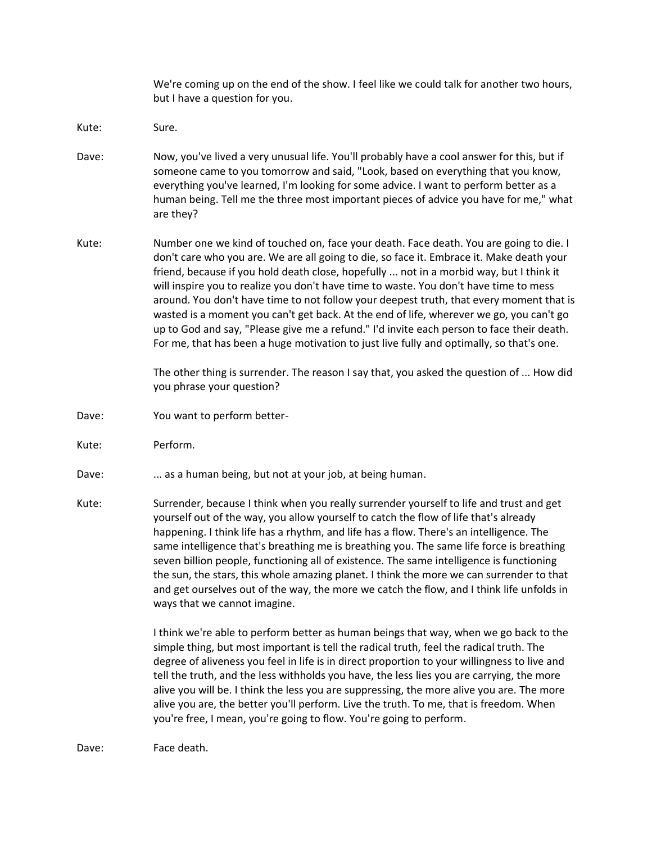We're coming up on the end of the show. I feel like we could talk for another two hours, but I have a question for you.

- Kute: Sure.
- Dave: Now, you've lived a very unusual life. You'll probably have a cool answer for this, but if someone came to you tomorrow and said, "Look, based on everything that you know, everything you've learned, I'm looking for some advice. I want to perform better as a human being. Tell me the three most important pieces of advice you have for me," what are they?
- Kute: Number one we kind of touched on, face your death. Face death. You are going to die. I don't care who you are. We are all going to die, so face it. Embrace it. Make death your friend, because if you hold death close, hopefully ... not in a morbid way, but I think it will inspire you to realize you don't have time to waste. You don't have time to mess around. You don't have time to not follow your deepest truth, that every moment that is wasted is a moment you can't get back. At the end of life, wherever we go, you can't go up to God and say, "Please give me a refund." I'd invite each person to face their death. For me, that has been a huge motivation to just live fully and optimally, so that's one.

The other thing is surrender. The reason I say that, you asked the question of ... How did you phrase your question?

- Dave: You want to perform better-
- Kute: Perform.
- Dave: ... as a human being, but not at your job, at being human.
- Kute: Surrender, because I think when you really surrender yourself to life and trust and get yourself out of the way, you allow yourself to catch the flow of life that's already happening. I think life has a rhythm, and life has a flow. There's an intelligence. The same intelligence that's breathing me is breathing you. The same life force is breathing seven billion people, functioning all of existence. The same intelligence is functioning the sun, the stars, this whole amazing planet. I think the more we can surrender to that and get ourselves out of the way, the more we catch the flow, and I think life unfolds in ways that we cannot imagine.

I think we're able to perform better as human beings that way, when we go back to the simple thing, but most important is tell the radical truth, feel the radical truth. The degree of aliveness you feel in life is in direct proportion to your willingness to live and tell the truth, and the less withholds you have, the less lies you are carrying, the more alive you will be. I think the less you are suppressing, the more alive you are. The more alive you are, the better you'll perform. Live the truth. To me, that is freedom. When you're free, I mean, you're going to flow. You're going to perform.

Dave: Face death.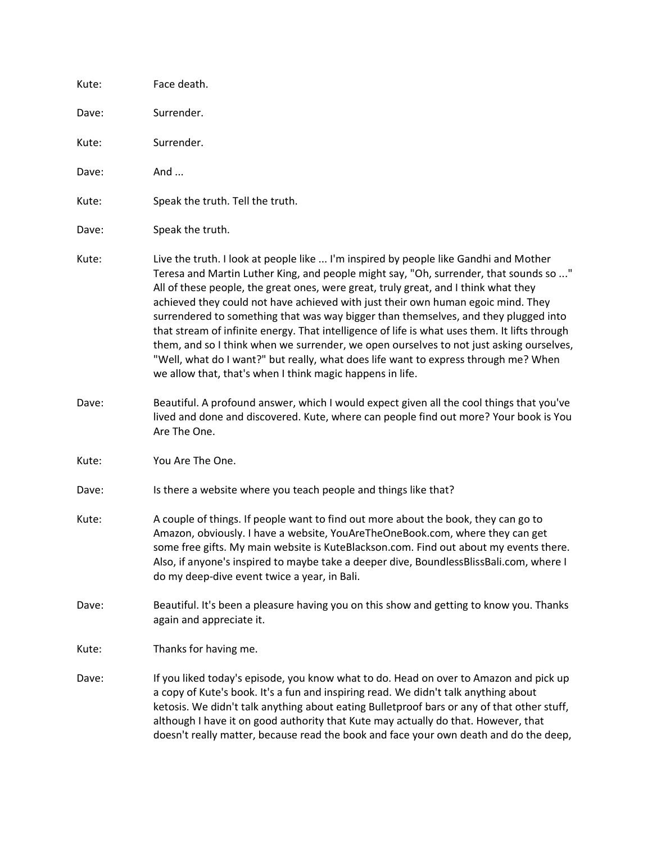| Kute: | Face death.                                                                                                                                                                                                                                                                                                                                                                                                                                                                                                                                                                                                                                                                                                                                                                                     |
|-------|-------------------------------------------------------------------------------------------------------------------------------------------------------------------------------------------------------------------------------------------------------------------------------------------------------------------------------------------------------------------------------------------------------------------------------------------------------------------------------------------------------------------------------------------------------------------------------------------------------------------------------------------------------------------------------------------------------------------------------------------------------------------------------------------------|
| Dave: | Surrender.                                                                                                                                                                                                                                                                                                                                                                                                                                                                                                                                                                                                                                                                                                                                                                                      |
| Kute: | Surrender.                                                                                                                                                                                                                                                                                                                                                                                                                                                                                                                                                                                                                                                                                                                                                                                      |
| Dave: | And                                                                                                                                                                                                                                                                                                                                                                                                                                                                                                                                                                                                                                                                                                                                                                                             |
| Kute: | Speak the truth. Tell the truth.                                                                                                                                                                                                                                                                                                                                                                                                                                                                                                                                                                                                                                                                                                                                                                |
| Dave: | Speak the truth.                                                                                                                                                                                                                                                                                                                                                                                                                                                                                                                                                                                                                                                                                                                                                                                |
| Kute: | Live the truth. I look at people like  I'm inspired by people like Gandhi and Mother<br>Teresa and Martin Luther King, and people might say, "Oh, surrender, that sounds so "<br>All of these people, the great ones, were great, truly great, and I think what they<br>achieved they could not have achieved with just their own human egoic mind. They<br>surrendered to something that was way bigger than themselves, and they plugged into<br>that stream of infinite energy. That intelligence of life is what uses them. It lifts through<br>them, and so I think when we surrender, we open ourselves to not just asking ourselves,<br>"Well, what do I want?" but really, what does life want to express through me? When<br>we allow that, that's when I think magic happens in life. |
| Dave: | Beautiful. A profound answer, which I would expect given all the cool things that you've<br>lived and done and discovered. Kute, where can people find out more? Your book is You<br>Are The One.                                                                                                                                                                                                                                                                                                                                                                                                                                                                                                                                                                                               |
| Kute: | You Are The One.                                                                                                                                                                                                                                                                                                                                                                                                                                                                                                                                                                                                                                                                                                                                                                                |
| Dave: | Is there a website where you teach people and things like that?                                                                                                                                                                                                                                                                                                                                                                                                                                                                                                                                                                                                                                                                                                                                 |
| Kute: | A couple of things. If people want to find out more about the book, they can go to<br>Amazon, obviously. I have a website, YouAreTheOneBook.com, where they can get<br>some free gifts. My main website is KuteBlackson.com. Find out about my events there.<br>Also, if anyone's inspired to maybe take a deeper dive, BoundlessBlissBali.com, where I<br>do my deep-dive event twice a year, in Bali.                                                                                                                                                                                                                                                                                                                                                                                         |
| Dave: | Beautiful. It's been a pleasure having you on this show and getting to know you. Thanks<br>again and appreciate it.                                                                                                                                                                                                                                                                                                                                                                                                                                                                                                                                                                                                                                                                             |
| Kute: | Thanks for having me.                                                                                                                                                                                                                                                                                                                                                                                                                                                                                                                                                                                                                                                                                                                                                                           |
| Dave: | If you liked today's episode, you know what to do. Head on over to Amazon and pick up<br>a copy of Kute's book. It's a fun and inspiring read. We didn't talk anything about<br>ketosis. We didn't talk anything about eating Bulletproof bars or any of that other stuff,<br>although I have it on good authority that Kute may actually do that. However, that<br>doesn't really matter, because read the book and face your own death and do the deep,                                                                                                                                                                                                                                                                                                                                       |